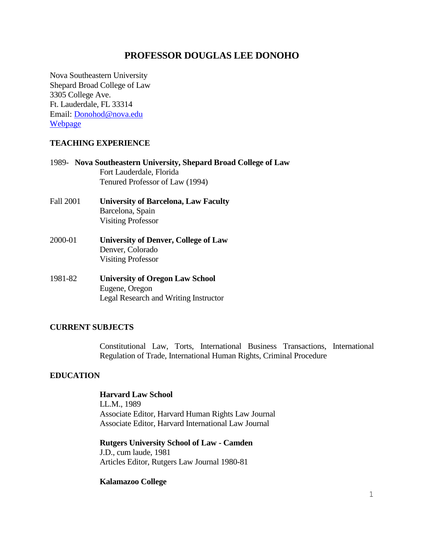# **PROFESSOR DOUGLAS LEE DONOHO**

Nova Southeastern University Shepard Broad College of Law 3305 College Ave. Ft. Lauderdale, FL 33314 Email: [Donohod@nova.edu](mailto:Donohod@nova.edu) [Webpage](https://www.law.nova.edu/faculty/full-time-faculty/donoho-douglas.html)

#### **TEACHING EXPERIENCE**

|                  | 1989 - Nova Southeastern University, Shepard Broad College of Law<br>Fort Lauderdale, Florida |
|------------------|-----------------------------------------------------------------------------------------------|
|                  | Tenured Professor of Law (1994)                                                               |
| <b>Fall 2001</b> | <b>University of Barcelona, Law Faculty</b>                                                   |
|                  | Barcelona, Spain                                                                              |
|                  | <b>Visiting Professor</b>                                                                     |
| 2000-01          | <b>University of Denver, College of Law</b>                                                   |
|                  | Denver, Colorado                                                                              |
|                  | <b>Visiting Professor</b>                                                                     |
| 1981-82          | <b>University of Oregon Law School</b>                                                        |
|                  | Eugene, Oregon                                                                                |
|                  | <b>Legal Research and Writing Instructor</b>                                                  |

## **CURRENT SUBJECTS**

Constitutional Law, Torts, International Business Transactions, International Regulation of Trade, International Human Rights, Criminal Procedure

## **EDUCATION**

## **Harvard Law School**

LL.M., 1989 Associate Editor, Harvard Human Rights Law Journal Associate Editor, Harvard International Law Journal

**Rutgers University School of Law - Camden** J.D., cum laude, 1981 Articles Editor, Rutgers Law Journal 1980-81

#### **Kalamazoo College**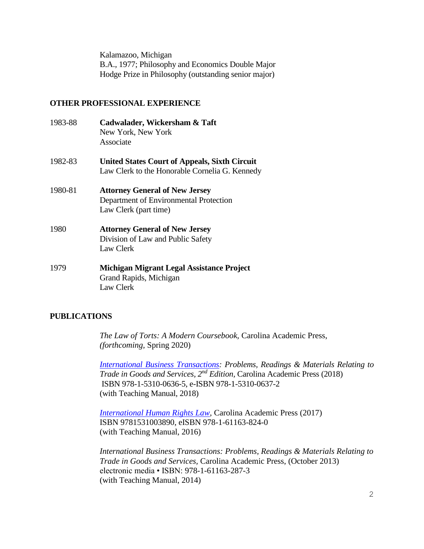Kalamazoo, Michigan B.A., 1977; Philosophy and Economics Double Major Hodge Prize in Philosophy (outstanding senior major)

#### **OTHER PROFESSIONAL EXPERIENCE**

- 1983-88 **Cadwalader, Wickersham & Taft** New York, New York Associate
- 1982-83 **United States Court of Appeals, Sixth Circuit** Law Clerk to the Honorable Cornelia G. Kennedy
- 1980-81 **Attorney General of New Jersey** Department of Environmental Protection Law Clerk (part time)
- 1980 **Attorney General of New Jersey** Division of Law and Public Safety Law Clerk
- 1979 **Michigan Migrant Legal Assistance Project** Grand Rapids, Michigan Law Clerk

#### **PUBLICATIONS**

*The Law of Torts: A Modern Coursebook,* Carolina Academic Press, *(forthcoming,* Spring 2020)

*[International Business Transactions:](https://cap-press.com/books/isbn/9781531006365/International-Business-Transactions-Second-Edition) Problems, Readings & Materials Relating to Trade in Goods and Services, 2<sup>nd</sup> Edition, Carolina Academic Press (2018)* ISBN 978-1-5310-0636-5, e-ISBN 978-1-5310-0637-2 (with Teaching Manual, 2018)

*[International Human Rights Law,](https://cap-press.com/books/isbn/9781531003890/International-Human-Rights-Law)* Carolina Academic Press (2017) ISBN 9781531003890, eISBN 978-1-61163-824-0 (with Teaching Manual, 2016)

*International Business Transactions: Problems, Readings & Materials Relating to Trade in Goods and Services,* Carolina Academic Press, (October 2013) electronic media • ISBN: 978-1-61163-287-3 (with Teaching Manual, 2014)